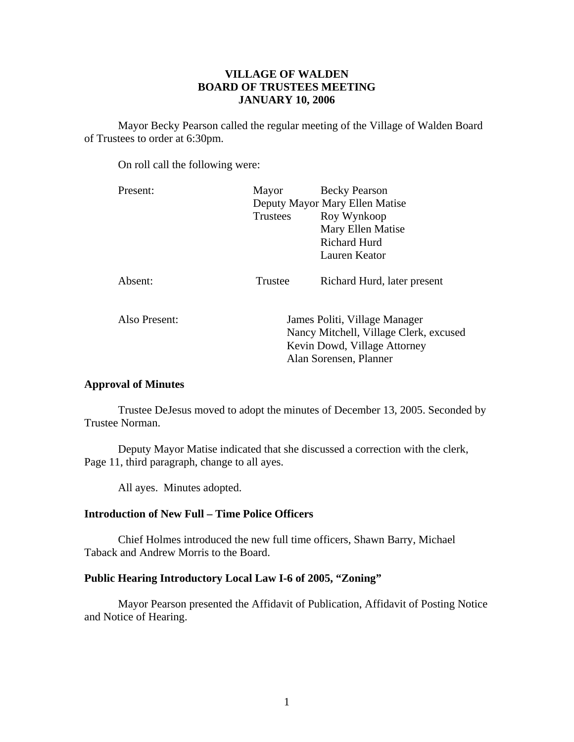# **VILLAGE OF WALDEN BOARD OF TRUSTEES MEETING JANUARY 10, 2006**

 Mayor Becky Pearson called the regular meeting of the Village of Walden Board of Trustees to order at 6:30pm.

On roll call the following were:

| Present:      | Mayor                                                                                                                             | <b>Becky Pearson</b>           |
|---------------|-----------------------------------------------------------------------------------------------------------------------------------|--------------------------------|
|               |                                                                                                                                   | Deputy Mayor Mary Ellen Matise |
|               | <b>Trustees</b>                                                                                                                   | Roy Wynkoop                    |
|               |                                                                                                                                   | Mary Ellen Matise              |
|               |                                                                                                                                   | Richard Hurd                   |
|               |                                                                                                                                   | Lauren Keator                  |
| Absent:       | Trustee                                                                                                                           | Richard Hurd, later present    |
| Also Present: | James Politi, Village Manager<br>Nancy Mitchell, Village Clerk, excused<br>Kevin Dowd, Village Attorney<br>Alan Sorensen, Planner |                                |

# **Approval of Minutes**

Trustee DeJesus moved to adopt the minutes of December 13, 2005. Seconded by Trustee Norman.

 Deputy Mayor Matise indicated that she discussed a correction with the clerk, Page 11, third paragraph, change to all ayes.

All ayes. Minutes adopted.

# **Introduction of New Full – Time Police Officers**

 Chief Holmes introduced the new full time officers, Shawn Barry, Michael Taback and Andrew Morris to the Board.

## **Public Hearing Introductory Local Law I-6 of 2005, "Zoning"**

Mayor Pearson presented the Affidavit of Publication, Affidavit of Posting Notice and Notice of Hearing.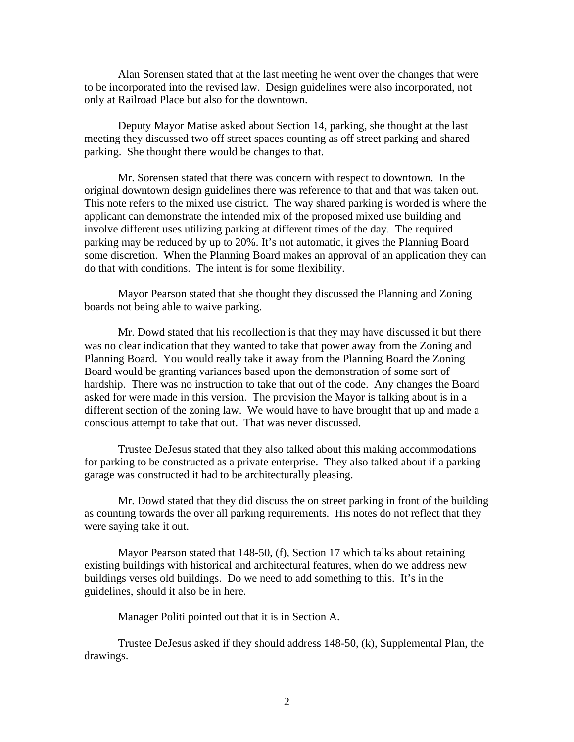Alan Sorensen stated that at the last meeting he went over the changes that were to be incorporated into the revised law. Design guidelines were also incorporated, not only at Railroad Place but also for the downtown.

 Deputy Mayor Matise asked about Section 14, parking, she thought at the last meeting they discussed two off street spaces counting as off street parking and shared parking. She thought there would be changes to that.

 Mr. Sorensen stated that there was concern with respect to downtown. In the original downtown design guidelines there was reference to that and that was taken out. This note refers to the mixed use district. The way shared parking is worded is where the applicant can demonstrate the intended mix of the proposed mixed use building and involve different uses utilizing parking at different times of the day. The required parking may be reduced by up to 20%. It's not automatic, it gives the Planning Board some discretion. When the Planning Board makes an approval of an application they can do that with conditions. The intent is for some flexibility.

 Mayor Pearson stated that she thought they discussed the Planning and Zoning boards not being able to waive parking.

 Mr. Dowd stated that his recollection is that they may have discussed it but there was no clear indication that they wanted to take that power away from the Zoning and Planning Board. You would really take it away from the Planning Board the Zoning Board would be granting variances based upon the demonstration of some sort of hardship. There was no instruction to take that out of the code. Any changes the Board asked for were made in this version. The provision the Mayor is talking about is in a different section of the zoning law. We would have to have brought that up and made a conscious attempt to take that out. That was never discussed.

 Trustee DeJesus stated that they also talked about this making accommodations for parking to be constructed as a private enterprise. They also talked about if a parking garage was constructed it had to be architecturally pleasing.

 Mr. Dowd stated that they did discuss the on street parking in front of the building as counting towards the over all parking requirements. His notes do not reflect that they were saying take it out.

 Mayor Pearson stated that 148-50, (f), Section 17 which talks about retaining existing buildings with historical and architectural features, when do we address new buildings verses old buildings. Do we need to add something to this. It's in the guidelines, should it also be in here.

Manager Politi pointed out that it is in Section A.

 Trustee DeJesus asked if they should address 148-50, (k), Supplemental Plan, the drawings.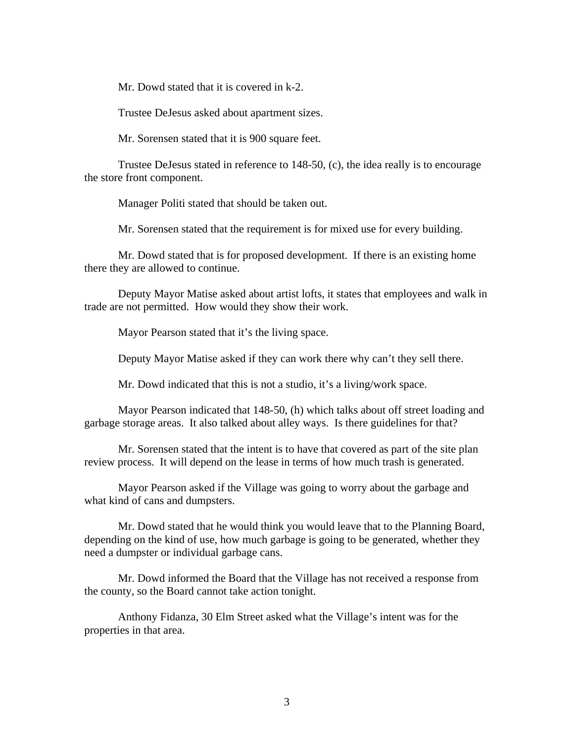Mr. Dowd stated that it is covered in k-2.

Trustee DeJesus asked about apartment sizes.

Mr. Sorensen stated that it is 900 square feet.

 Trustee DeJesus stated in reference to 148-50, (c), the idea really is to encourage the store front component.

Manager Politi stated that should be taken out.

Mr. Sorensen stated that the requirement is for mixed use for every building.

 Mr. Dowd stated that is for proposed development. If there is an existing home there they are allowed to continue.

 Deputy Mayor Matise asked about artist lofts, it states that employees and walk in trade are not permitted. How would they show their work.

Mayor Pearson stated that it's the living space.

Deputy Mayor Matise asked if they can work there why can't they sell there.

Mr. Dowd indicated that this is not a studio, it's a living/work space.

 Mayor Pearson indicated that 148-50, (h) which talks about off street loading and garbage storage areas. It also talked about alley ways. Is there guidelines for that?

 Mr. Sorensen stated that the intent is to have that covered as part of the site plan review process. It will depend on the lease in terms of how much trash is generated.

 Mayor Pearson asked if the Village was going to worry about the garbage and what kind of cans and dumpsters.

 Mr. Dowd stated that he would think you would leave that to the Planning Board, depending on the kind of use, how much garbage is going to be generated, whether they need a dumpster or individual garbage cans.

 Mr. Dowd informed the Board that the Village has not received a response from the county, so the Board cannot take action tonight.

 Anthony Fidanza, 30 Elm Street asked what the Village's intent was for the properties in that area.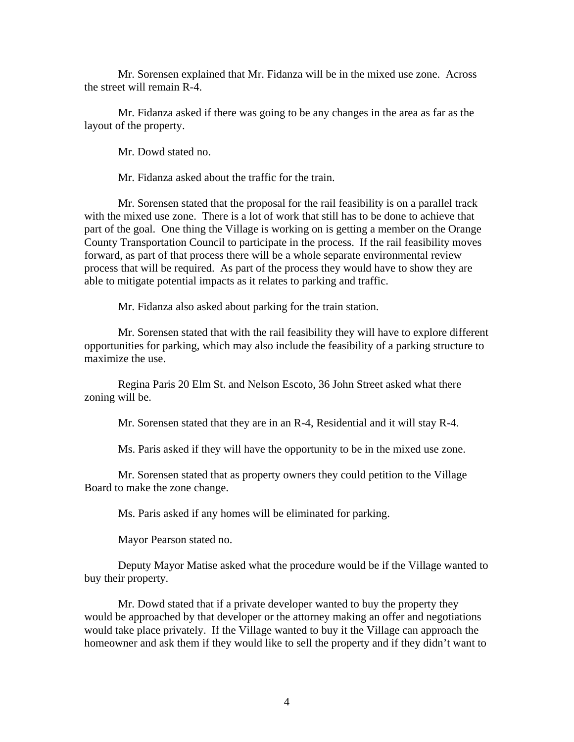Mr. Sorensen explained that Mr. Fidanza will be in the mixed use zone. Across the street will remain R-4.

 Mr. Fidanza asked if there was going to be any changes in the area as far as the layout of the property.

Mr. Dowd stated no.

Mr. Fidanza asked about the traffic for the train.

 Mr. Sorensen stated that the proposal for the rail feasibility is on a parallel track with the mixed use zone. There is a lot of work that still has to be done to achieve that part of the goal. One thing the Village is working on is getting a member on the Orange County Transportation Council to participate in the process. If the rail feasibility moves forward, as part of that process there will be a whole separate environmental review process that will be required. As part of the process they would have to show they are able to mitigate potential impacts as it relates to parking and traffic.

Mr. Fidanza also asked about parking for the train station.

 Mr. Sorensen stated that with the rail feasibility they will have to explore different opportunities for parking, which may also include the feasibility of a parking structure to maximize the use.

 Regina Paris 20 Elm St. and Nelson Escoto, 36 John Street asked what there zoning will be.

Mr. Sorensen stated that they are in an R-4, Residential and it will stay R-4.

Ms. Paris asked if they will have the opportunity to be in the mixed use zone.

 Mr. Sorensen stated that as property owners they could petition to the Village Board to make the zone change.

Ms. Paris asked if any homes will be eliminated for parking.

Mayor Pearson stated no.

 Deputy Mayor Matise asked what the procedure would be if the Village wanted to buy their property.

 Mr. Dowd stated that if a private developer wanted to buy the property they would be approached by that developer or the attorney making an offer and negotiations would take place privately. If the Village wanted to buy it the Village can approach the homeowner and ask them if they would like to sell the property and if they didn't want to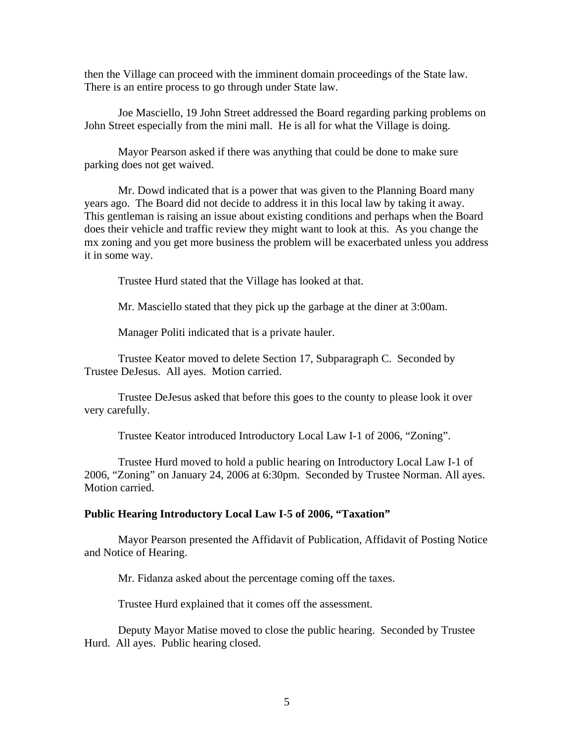then the Village can proceed with the imminent domain proceedings of the State law. There is an entire process to go through under State law.

 Joe Masciello, 19 John Street addressed the Board regarding parking problems on John Street especially from the mini mall. He is all for what the Village is doing.

 Mayor Pearson asked if there was anything that could be done to make sure parking does not get waived.

 Mr. Dowd indicated that is a power that was given to the Planning Board many years ago. The Board did not decide to address it in this local law by taking it away. This gentleman is raising an issue about existing conditions and perhaps when the Board does their vehicle and traffic review they might want to look at this. As you change the mx zoning and you get more business the problem will be exacerbated unless you address it in some way.

Trustee Hurd stated that the Village has looked at that.

Mr. Masciello stated that they pick up the garbage at the diner at 3:00am.

Manager Politi indicated that is a private hauler.

 Trustee Keator moved to delete Section 17, Subparagraph C. Seconded by Trustee DeJesus. All ayes. Motion carried.

 Trustee DeJesus asked that before this goes to the county to please look it over very carefully.

Trustee Keator introduced Introductory Local Law I-1 of 2006, "Zoning".

 Trustee Hurd moved to hold a public hearing on Introductory Local Law I-1 of 2006, "Zoning" on January 24, 2006 at 6:30pm. Seconded by Trustee Norman. All ayes. Motion carried.

#### **Public Hearing Introductory Local Law I-5 of 2006, "Taxation"**

 Mayor Pearson presented the Affidavit of Publication, Affidavit of Posting Notice and Notice of Hearing.

Mr. Fidanza asked about the percentage coming off the taxes.

Trustee Hurd explained that it comes off the assessment.

 Deputy Mayor Matise moved to close the public hearing. Seconded by Trustee Hurd. All ayes. Public hearing closed.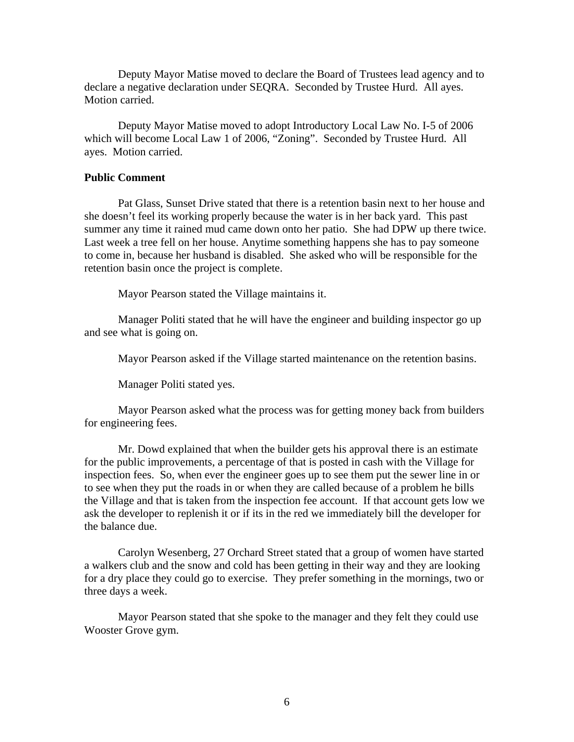Deputy Mayor Matise moved to declare the Board of Trustees lead agency and to declare a negative declaration under SEQRA. Seconded by Trustee Hurd. All ayes. Motion carried.

 Deputy Mayor Matise moved to adopt Introductory Local Law No. I-5 of 2006 which will become Local Law 1 of 2006, "Zoning". Seconded by Trustee Hurd. All ayes. Motion carried.

### **Public Comment**

Pat Glass, Sunset Drive stated that there is a retention basin next to her house and she doesn't feel its working properly because the water is in her back yard. This past summer any time it rained mud came down onto her patio. She had DPW up there twice. Last week a tree fell on her house. Anytime something happens she has to pay someone to come in, because her husband is disabled. She asked who will be responsible for the retention basin once the project is complete.

Mayor Pearson stated the Village maintains it.

 Manager Politi stated that he will have the engineer and building inspector go up and see what is going on.

Mayor Pearson asked if the Village started maintenance on the retention basins.

Manager Politi stated yes.

 Mayor Pearson asked what the process was for getting money back from builders for engineering fees.

 Mr. Dowd explained that when the builder gets his approval there is an estimate for the public improvements, a percentage of that is posted in cash with the Village for inspection fees. So, when ever the engineer goes up to see them put the sewer line in or to see when they put the roads in or when they are called because of a problem he bills the Village and that is taken from the inspection fee account. If that account gets low we ask the developer to replenish it or if its in the red we immediately bill the developer for the balance due.

 Carolyn Wesenberg, 27 Orchard Street stated that a group of women have started a walkers club and the snow and cold has been getting in their way and they are looking for a dry place they could go to exercise. They prefer something in the mornings, two or three days a week.

 Mayor Pearson stated that she spoke to the manager and they felt they could use Wooster Grove gym.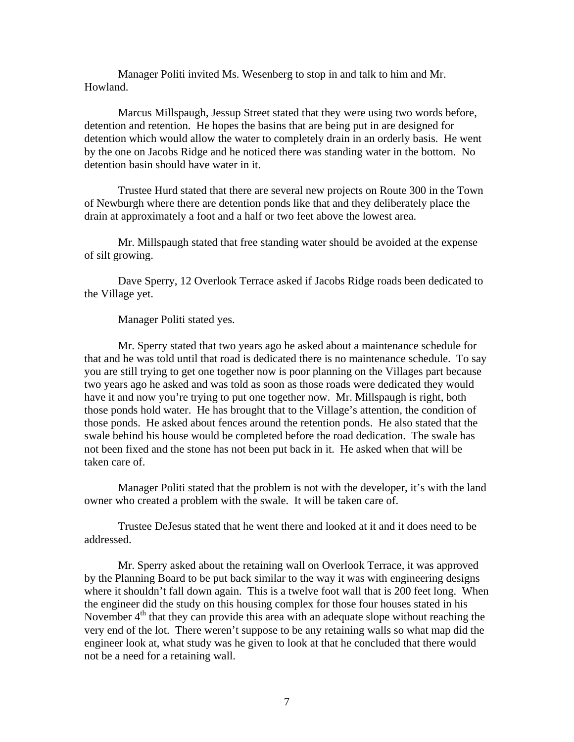Manager Politi invited Ms. Wesenberg to stop in and talk to him and Mr. Howland.

 Marcus Millspaugh, Jessup Street stated that they were using two words before, detention and retention. He hopes the basins that are being put in are designed for detention which would allow the water to completely drain in an orderly basis. He went by the one on Jacobs Ridge and he noticed there was standing water in the bottom. No detention basin should have water in it.

 Trustee Hurd stated that there are several new projects on Route 300 in the Town of Newburgh where there are detention ponds like that and they deliberately place the drain at approximately a foot and a half or two feet above the lowest area.

 Mr. Millspaugh stated that free standing water should be avoided at the expense of silt growing.

 Dave Sperry, 12 Overlook Terrace asked if Jacobs Ridge roads been dedicated to the Village yet.

Manager Politi stated yes.

 Mr. Sperry stated that two years ago he asked about a maintenance schedule for that and he was told until that road is dedicated there is no maintenance schedule. To say you are still trying to get one together now is poor planning on the Villages part because two years ago he asked and was told as soon as those roads were dedicated they would have it and now you're trying to put one together now. Mr. Millspaugh is right, both those ponds hold water. He has brought that to the Village's attention, the condition of those ponds. He asked about fences around the retention ponds. He also stated that the swale behind his house would be completed before the road dedication. The swale has not been fixed and the stone has not been put back in it. He asked when that will be taken care of.

 Manager Politi stated that the problem is not with the developer, it's with the land owner who created a problem with the swale. It will be taken care of.

 Trustee DeJesus stated that he went there and looked at it and it does need to be addressed.

 Mr. Sperry asked about the retaining wall on Overlook Terrace, it was approved by the Planning Board to be put back similar to the way it was with engineering designs where it shouldn't fall down again. This is a twelve foot wall that is 200 feet long. When the engineer did the study on this housing complex for those four houses stated in his November  $4<sup>th</sup>$  that they can provide this area with an adequate slope without reaching the very end of the lot. There weren't suppose to be any retaining walls so what map did the engineer look at, what study was he given to look at that he concluded that there would not be a need for a retaining wall.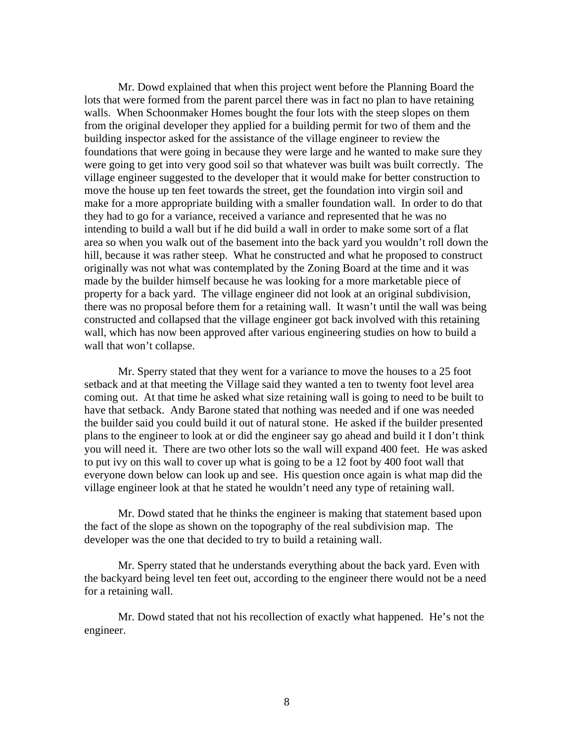Mr. Dowd explained that when this project went before the Planning Board the lots that were formed from the parent parcel there was in fact no plan to have retaining walls. When Schoonmaker Homes bought the four lots with the steep slopes on them from the original developer they applied for a building permit for two of them and the building inspector asked for the assistance of the village engineer to review the foundations that were going in because they were large and he wanted to make sure they were going to get into very good soil so that whatever was built was built correctly. The village engineer suggested to the developer that it would make for better construction to move the house up ten feet towards the street, get the foundation into virgin soil and make for a more appropriate building with a smaller foundation wall. In order to do that they had to go for a variance, received a variance and represented that he was no intending to build a wall but if he did build a wall in order to make some sort of a flat area so when you walk out of the basement into the back yard you wouldn't roll down the hill, because it was rather steep. What he constructed and what he proposed to construct originally was not what was contemplated by the Zoning Board at the time and it was made by the builder himself because he was looking for a more marketable piece of property for a back yard. The village engineer did not look at an original subdivision, there was no proposal before them for a retaining wall. It wasn't until the wall was being constructed and collapsed that the village engineer got back involved with this retaining wall, which has now been approved after various engineering studies on how to build a wall that won't collapse.

 Mr. Sperry stated that they went for a variance to move the houses to a 25 foot setback and at that meeting the Village said they wanted a ten to twenty foot level area coming out. At that time he asked what size retaining wall is going to need to be built to have that setback. Andy Barone stated that nothing was needed and if one was needed the builder said you could build it out of natural stone. He asked if the builder presented plans to the engineer to look at or did the engineer say go ahead and build it I don't think you will need it. There are two other lots so the wall will expand 400 feet. He was asked to put ivy on this wall to cover up what is going to be a 12 foot by 400 foot wall that everyone down below can look up and see. His question once again is what map did the village engineer look at that he stated he wouldn't need any type of retaining wall.

 Mr. Dowd stated that he thinks the engineer is making that statement based upon the fact of the slope as shown on the topography of the real subdivision map. The developer was the one that decided to try to build a retaining wall.

 Mr. Sperry stated that he understands everything about the back yard. Even with the backyard being level ten feet out, according to the engineer there would not be a need for a retaining wall.

 Mr. Dowd stated that not his recollection of exactly what happened. He's not the engineer.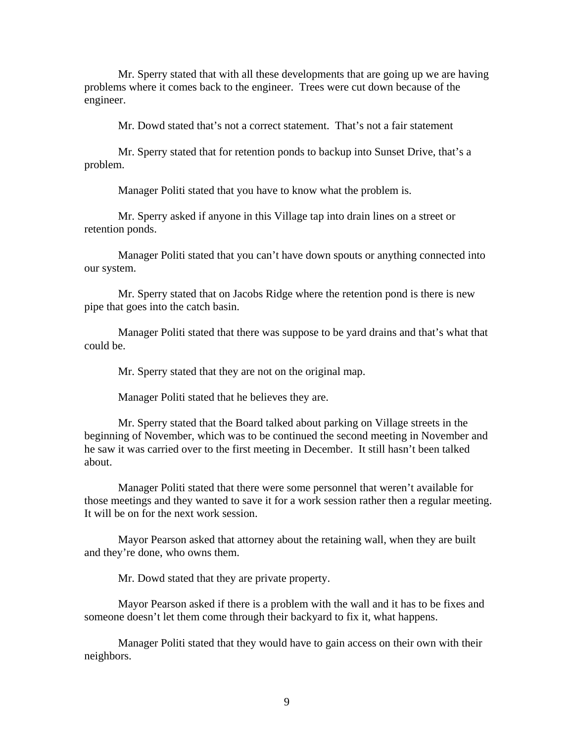Mr. Sperry stated that with all these developments that are going up we are having problems where it comes back to the engineer. Trees were cut down because of the engineer.

Mr. Dowd stated that's not a correct statement. That's not a fair statement

 Mr. Sperry stated that for retention ponds to backup into Sunset Drive, that's a problem.

Manager Politi stated that you have to know what the problem is.

 Mr. Sperry asked if anyone in this Village tap into drain lines on a street or retention ponds.

 Manager Politi stated that you can't have down spouts or anything connected into our system.

 Mr. Sperry stated that on Jacobs Ridge where the retention pond is there is new pipe that goes into the catch basin.

 Manager Politi stated that there was suppose to be yard drains and that's what that could be.

Mr. Sperry stated that they are not on the original map.

Manager Politi stated that he believes they are.

 Mr. Sperry stated that the Board talked about parking on Village streets in the beginning of November, which was to be continued the second meeting in November and he saw it was carried over to the first meeting in December. It still hasn't been talked about.

 Manager Politi stated that there were some personnel that weren't available for those meetings and they wanted to save it for a work session rather then a regular meeting. It will be on for the next work session.

 Mayor Pearson asked that attorney about the retaining wall, when they are built and they're done, who owns them.

Mr. Dowd stated that they are private property.

 Mayor Pearson asked if there is a problem with the wall and it has to be fixes and someone doesn't let them come through their backyard to fix it, what happens.

 Manager Politi stated that they would have to gain access on their own with their neighbors.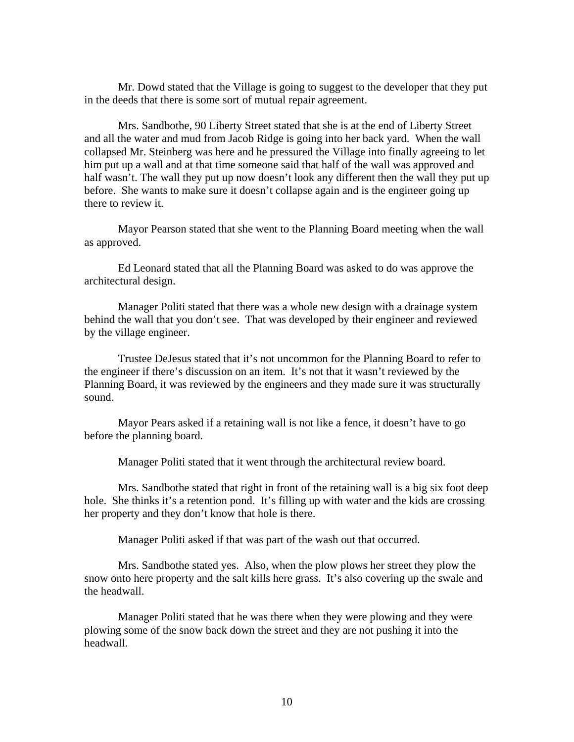Mr. Dowd stated that the Village is going to suggest to the developer that they put in the deeds that there is some sort of mutual repair agreement.

 Mrs. Sandbothe, 90 Liberty Street stated that she is at the end of Liberty Street and all the water and mud from Jacob Ridge is going into her back yard. When the wall collapsed Mr. Steinberg was here and he pressured the Village into finally agreeing to let him put up a wall and at that time someone said that half of the wall was approved and half wasn't. The wall they put up now doesn't look any different then the wall they put up before. She wants to make sure it doesn't collapse again and is the engineer going up there to review it.

 Mayor Pearson stated that she went to the Planning Board meeting when the wall as approved.

 Ed Leonard stated that all the Planning Board was asked to do was approve the architectural design.

 Manager Politi stated that there was a whole new design with a drainage system behind the wall that you don't see. That was developed by their engineer and reviewed by the village engineer.

 Trustee DeJesus stated that it's not uncommon for the Planning Board to refer to the engineer if there's discussion on an item. It's not that it wasn't reviewed by the Planning Board, it was reviewed by the engineers and they made sure it was structurally sound.

 Mayor Pears asked if a retaining wall is not like a fence, it doesn't have to go before the planning board.

Manager Politi stated that it went through the architectural review board.

 Mrs. Sandbothe stated that right in front of the retaining wall is a big six foot deep hole. She thinks it's a retention pond. It's filling up with water and the kids are crossing her property and they don't know that hole is there.

Manager Politi asked if that was part of the wash out that occurred.

 Mrs. Sandbothe stated yes. Also, when the plow plows her street they plow the snow onto here property and the salt kills here grass. It's also covering up the swale and the headwall.

 Manager Politi stated that he was there when they were plowing and they were plowing some of the snow back down the street and they are not pushing it into the headwall.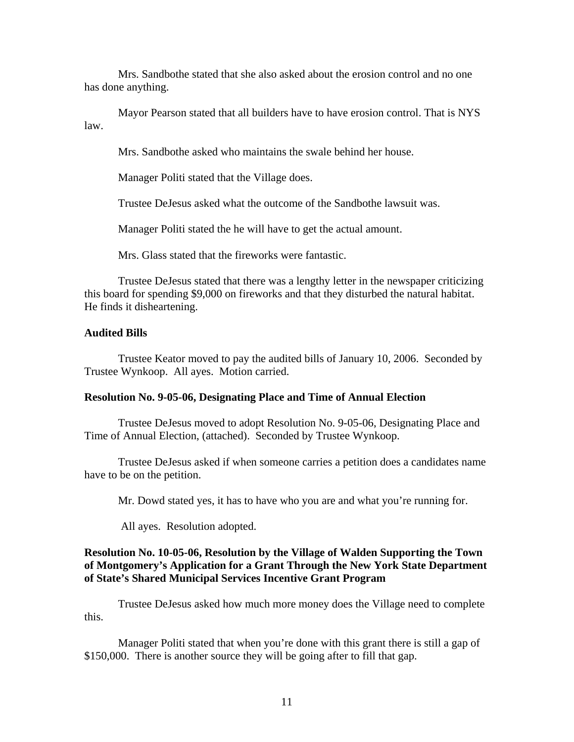Mrs. Sandbothe stated that she also asked about the erosion control and no one has done anything.

 Mayor Pearson stated that all builders have to have erosion control. That is NYS law.

Mrs. Sandbothe asked who maintains the swale behind her house.

Manager Politi stated that the Village does.

Trustee DeJesus asked what the outcome of the Sandbothe lawsuit was.

Manager Politi stated the he will have to get the actual amount.

Mrs. Glass stated that the fireworks were fantastic.

 Trustee DeJesus stated that there was a lengthy letter in the newspaper criticizing this board for spending \$9,000 on fireworks and that they disturbed the natural habitat. He finds it disheartening.

# **Audited Bills**

Trustee Keator moved to pay the audited bills of January 10, 2006. Seconded by Trustee Wynkoop. All ayes. Motion carried.

## **Resolution No. 9-05-06, Designating Place and Time of Annual Election**

Trustee DeJesus moved to adopt Resolution No. 9-05-06, Designating Place and Time of Annual Election, (attached). Seconded by Trustee Wynkoop.

 Trustee DeJesus asked if when someone carries a petition does a candidates name have to be on the petition.

Mr. Dowd stated yes, it has to have who you are and what you're running for.

All ayes. Resolution adopted.

# **Resolution No. 10-05-06, Resolution by the Village of Walden Supporting the Town of Montgomery's Application for a Grant Through the New York State Department of State's Shared Municipal Services Incentive Grant Program**

Trustee DeJesus asked how much more money does the Village need to complete this.

 Manager Politi stated that when you're done with this grant there is still a gap of \$150,000. There is another source they will be going after to fill that gap.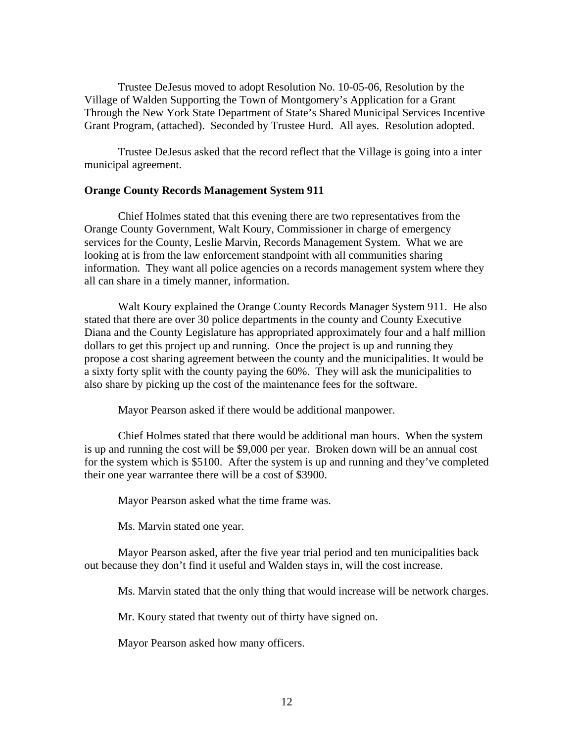Trustee DeJesus moved to adopt Resolution No. 10-05-06, Resolution by the Village of Walden Supporting the Town of Montgomery's Application for a Grant Through the New York State Department of State's Shared Municipal Services Incentive Grant Program, (attached). Seconded by Trustee Hurd. All ayes. Resolution adopted.

 Trustee DeJesus asked that the record reflect that the Village is going into a inter municipal agreement.

### **Orange County Records Management System 911**

 Chief Holmes stated that this evening there are two representatives from the Orange County Government, Walt Koury, Commissioner in charge of emergency services for the County, Leslie Marvin, Records Management System. What we are looking at is from the law enforcement standpoint with all communities sharing information. They want all police agencies on a records management system where they all can share in a timely manner, information.

 Walt Koury explained the Orange County Records Manager System 911. He also stated that there are over 30 police departments in the county and County Executive Diana and the County Legislature has appropriated approximately four and a half million dollars to get this project up and running. Once the project is up and running they propose a cost sharing agreement between the county and the municipalities. It would be a sixty forty split with the county paying the 60%. They will ask the municipalities to also share by picking up the cost of the maintenance fees for the software.

Mayor Pearson asked if there would be additional manpower.

 Chief Holmes stated that there would be additional man hours. When the system is up and running the cost will be \$9,000 per year. Broken down will be an annual cost for the system which is \$5100. After the system is up and running and they've completed their one year warrantee there will be a cost of \$3900.

Mayor Pearson asked what the time frame was.

Ms. Marvin stated one year.

 Mayor Pearson asked, after the five year trial period and ten municipalities back out because they don't find it useful and Walden stays in, will the cost increase.

Ms. Marvin stated that the only thing that would increase will be network charges.

Mr. Koury stated that twenty out of thirty have signed on.

Mayor Pearson asked how many officers.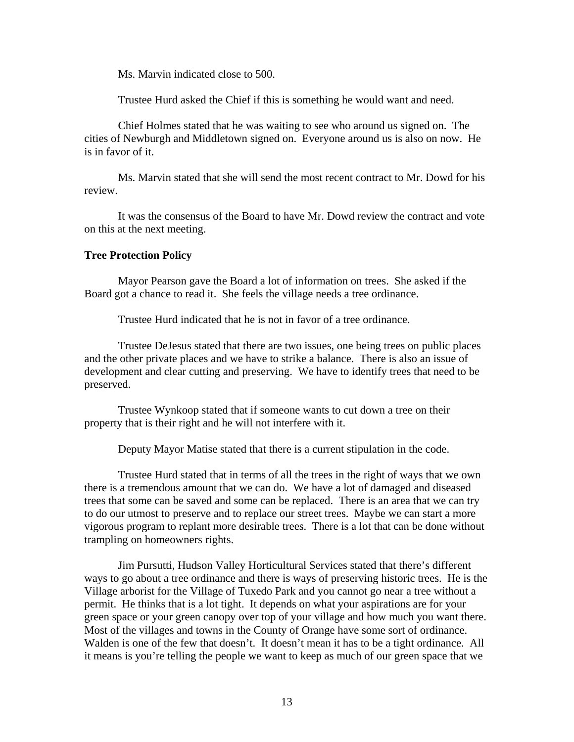Ms. Marvin indicated close to 500.

Trustee Hurd asked the Chief if this is something he would want and need.

 Chief Holmes stated that he was waiting to see who around us signed on. The cities of Newburgh and Middletown signed on. Everyone around us is also on now. He is in favor of it.

 Ms. Marvin stated that she will send the most recent contract to Mr. Dowd for his review.

 It was the consensus of the Board to have Mr. Dowd review the contract and vote on this at the next meeting.

#### **Tree Protection Policy**

Mayor Pearson gave the Board a lot of information on trees. She asked if the Board got a chance to read it. She feels the village needs a tree ordinance.

Trustee Hurd indicated that he is not in favor of a tree ordinance.

 Trustee DeJesus stated that there are two issues, one being trees on public places and the other private places and we have to strike a balance. There is also an issue of development and clear cutting and preserving. We have to identify trees that need to be preserved.

 Trustee Wynkoop stated that if someone wants to cut down a tree on their property that is their right and he will not interfere with it.

Deputy Mayor Matise stated that there is a current stipulation in the code.

 Trustee Hurd stated that in terms of all the trees in the right of ways that we own there is a tremendous amount that we can do. We have a lot of damaged and diseased trees that some can be saved and some can be replaced. There is an area that we can try to do our utmost to preserve and to replace our street trees. Maybe we can start a more vigorous program to replant more desirable trees. There is a lot that can be done without trampling on homeowners rights.

 Jim Pursutti, Hudson Valley Horticultural Services stated that there's different ways to go about a tree ordinance and there is ways of preserving historic trees. He is the Village arborist for the Village of Tuxedo Park and you cannot go near a tree without a permit. He thinks that is a lot tight. It depends on what your aspirations are for your green space or your green canopy over top of your village and how much you want there. Most of the villages and towns in the County of Orange have some sort of ordinance. Walden is one of the few that doesn't. It doesn't mean it has to be a tight ordinance. All it means is you're telling the people we want to keep as much of our green space that we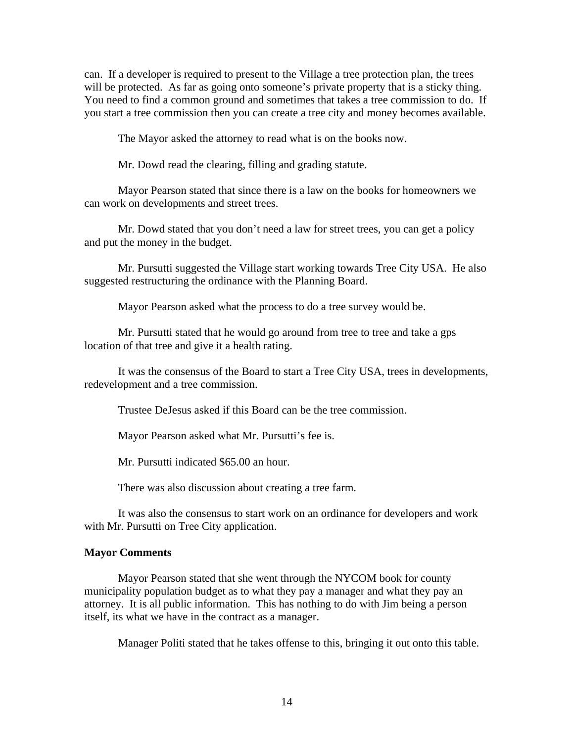can. If a developer is required to present to the Village a tree protection plan, the trees will be protected. As far as going onto someone's private property that is a sticky thing. You need to find a common ground and sometimes that takes a tree commission to do. If you start a tree commission then you can create a tree city and money becomes available.

The Mayor asked the attorney to read what is on the books now.

Mr. Dowd read the clearing, filling and grading statute.

 Mayor Pearson stated that since there is a law on the books for homeowners we can work on developments and street trees.

 Mr. Dowd stated that you don't need a law for street trees, you can get a policy and put the money in the budget.

 Mr. Pursutti suggested the Village start working towards Tree City USA. He also suggested restructuring the ordinance with the Planning Board.

Mayor Pearson asked what the process to do a tree survey would be.

 Mr. Pursutti stated that he would go around from tree to tree and take a gps location of that tree and give it a health rating.

 It was the consensus of the Board to start a Tree City USA, trees in developments, redevelopment and a tree commission.

Trustee DeJesus asked if this Board can be the tree commission.

Mayor Pearson asked what Mr. Pursutti's fee is.

Mr. Pursutti indicated \$65.00 an hour.

There was also discussion about creating a tree farm.

It was also the consensus to start work on an ordinance for developers and work with Mr. Pursutti on Tree City application.

## **Mayor Comments**

Mayor Pearson stated that she went through the NYCOM book for county municipality population budget as to what they pay a manager and what they pay an attorney. It is all public information. This has nothing to do with Jim being a person itself, its what we have in the contract as a manager.

Manager Politi stated that he takes offense to this, bringing it out onto this table.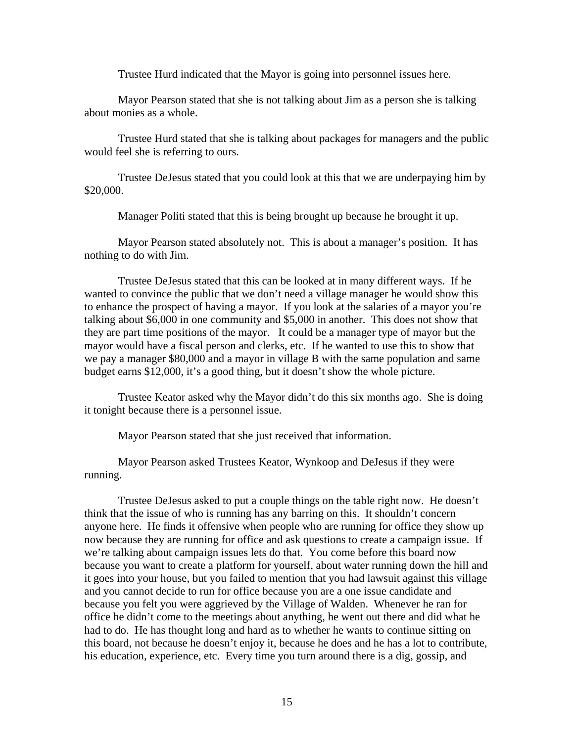Trustee Hurd indicated that the Mayor is going into personnel issues here.

 Mayor Pearson stated that she is not talking about Jim as a person she is talking about monies as a whole.

 Trustee Hurd stated that she is talking about packages for managers and the public would feel she is referring to ours.

 Trustee DeJesus stated that you could look at this that we are underpaying him by \$20,000.

Manager Politi stated that this is being brought up because he brought it up.

 Mayor Pearson stated absolutely not. This is about a manager's position. It has nothing to do with Jim.

 Trustee DeJesus stated that this can be looked at in many different ways. If he wanted to convince the public that we don't need a village manager he would show this to enhance the prospect of having a mayor. If you look at the salaries of a mayor you're talking about \$6,000 in one community and \$5,000 in another. This does not show that they are part time positions of the mayor. It could be a manager type of mayor but the mayor would have a fiscal person and clerks, etc. If he wanted to use this to show that we pay a manager \$80,000 and a mayor in village B with the same population and same budget earns \$12,000, it's a good thing, but it doesn't show the whole picture.

 Trustee Keator asked why the Mayor didn't do this six months ago. She is doing it tonight because there is a personnel issue.

Mayor Pearson stated that she just received that information.

 Mayor Pearson asked Trustees Keator, Wynkoop and DeJesus if they were running.

 Trustee DeJesus asked to put a couple things on the table right now. He doesn't think that the issue of who is running has any barring on this. It shouldn't concern anyone here. He finds it offensive when people who are running for office they show up now because they are running for office and ask questions to create a campaign issue. If we're talking about campaign issues lets do that. You come before this board now because you want to create a platform for yourself, about water running down the hill and it goes into your house, but you failed to mention that you had lawsuit against this village and you cannot decide to run for office because you are a one issue candidate and because you felt you were aggrieved by the Village of Walden. Whenever he ran for office he didn't come to the meetings about anything, he went out there and did what he had to do. He has thought long and hard as to whether he wants to continue sitting on this board, not because he doesn't enjoy it, because he does and he has a lot to contribute, his education, experience, etc. Every time you turn around there is a dig, gossip, and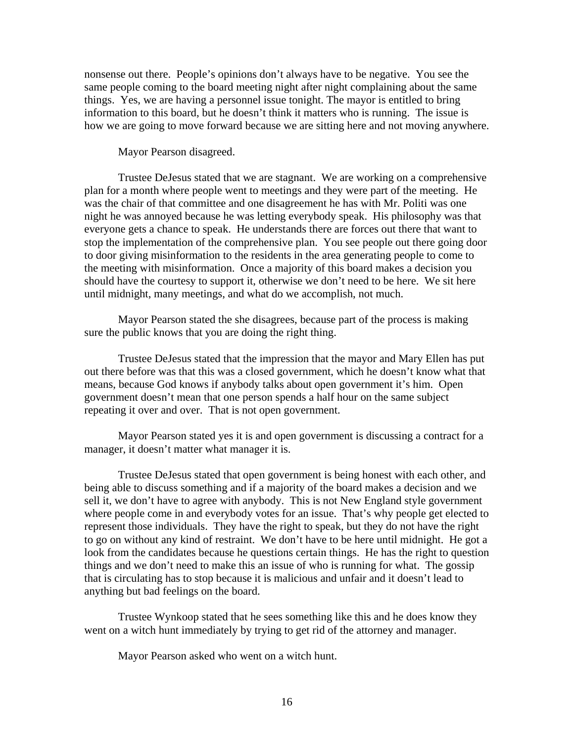nonsense out there. People's opinions don't always have to be negative. You see the same people coming to the board meeting night after night complaining about the same things. Yes, we are having a personnel issue tonight. The mayor is entitled to bring information to this board, but he doesn't think it matters who is running. The issue is how we are going to move forward because we are sitting here and not moving anywhere.

Mayor Pearson disagreed.

 Trustee DeJesus stated that we are stagnant. We are working on a comprehensive plan for a month where people went to meetings and they were part of the meeting. He was the chair of that committee and one disagreement he has with Mr. Politi was one night he was annoyed because he was letting everybody speak. His philosophy was that everyone gets a chance to speak. He understands there are forces out there that want to stop the implementation of the comprehensive plan. You see people out there going door to door giving misinformation to the residents in the area generating people to come to the meeting with misinformation. Once a majority of this board makes a decision you should have the courtesy to support it, otherwise we don't need to be here. We sit here until midnight, many meetings, and what do we accomplish, not much.

 Mayor Pearson stated the she disagrees, because part of the process is making sure the public knows that you are doing the right thing.

 Trustee DeJesus stated that the impression that the mayor and Mary Ellen has put out there before was that this was a closed government, which he doesn't know what that means, because God knows if anybody talks about open government it's him. Open government doesn't mean that one person spends a half hour on the same subject repeating it over and over. That is not open government.

 Mayor Pearson stated yes it is and open government is discussing a contract for a manager, it doesn't matter what manager it is.

 Trustee DeJesus stated that open government is being honest with each other, and being able to discuss something and if a majority of the board makes a decision and we sell it, we don't have to agree with anybody. This is not New England style government where people come in and everybody votes for an issue. That's why people get elected to represent those individuals. They have the right to speak, but they do not have the right to go on without any kind of restraint. We don't have to be here until midnight. He got a look from the candidates because he questions certain things. He has the right to question things and we don't need to make this an issue of who is running for what. The gossip that is circulating has to stop because it is malicious and unfair and it doesn't lead to anything but bad feelings on the board.

 Trustee Wynkoop stated that he sees something like this and he does know they went on a witch hunt immediately by trying to get rid of the attorney and manager.

Mayor Pearson asked who went on a witch hunt.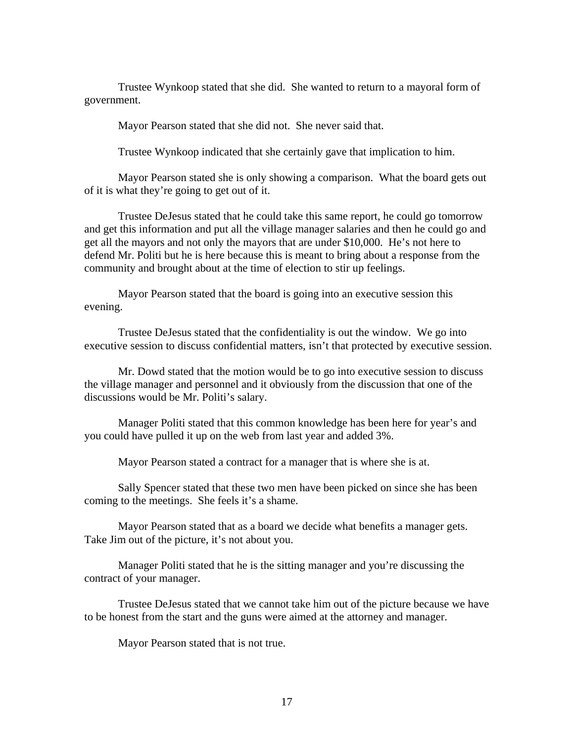Trustee Wynkoop stated that she did. She wanted to return to a mayoral form of government.

Mayor Pearson stated that she did not. She never said that.

Trustee Wynkoop indicated that she certainly gave that implication to him.

 Mayor Pearson stated she is only showing a comparison. What the board gets out of it is what they're going to get out of it.

 Trustee DeJesus stated that he could take this same report, he could go tomorrow and get this information and put all the village manager salaries and then he could go and get all the mayors and not only the mayors that are under \$10,000. He's not here to defend Mr. Politi but he is here because this is meant to bring about a response from the community and brought about at the time of election to stir up feelings.

 Mayor Pearson stated that the board is going into an executive session this evening.

 Trustee DeJesus stated that the confidentiality is out the window. We go into executive session to discuss confidential matters, isn't that protected by executive session.

 Mr. Dowd stated that the motion would be to go into executive session to discuss the village manager and personnel and it obviously from the discussion that one of the discussions would be Mr. Politi's salary.

 Manager Politi stated that this common knowledge has been here for year's and you could have pulled it up on the web from last year and added 3%.

Mayor Pearson stated a contract for a manager that is where she is at.

 Sally Spencer stated that these two men have been picked on since she has been coming to the meetings. She feels it's a shame.

 Mayor Pearson stated that as a board we decide what benefits a manager gets. Take Jim out of the picture, it's not about you.

 Manager Politi stated that he is the sitting manager and you're discussing the contract of your manager.

 Trustee DeJesus stated that we cannot take him out of the picture because we have to be honest from the start and the guns were aimed at the attorney and manager.

Mayor Pearson stated that is not true.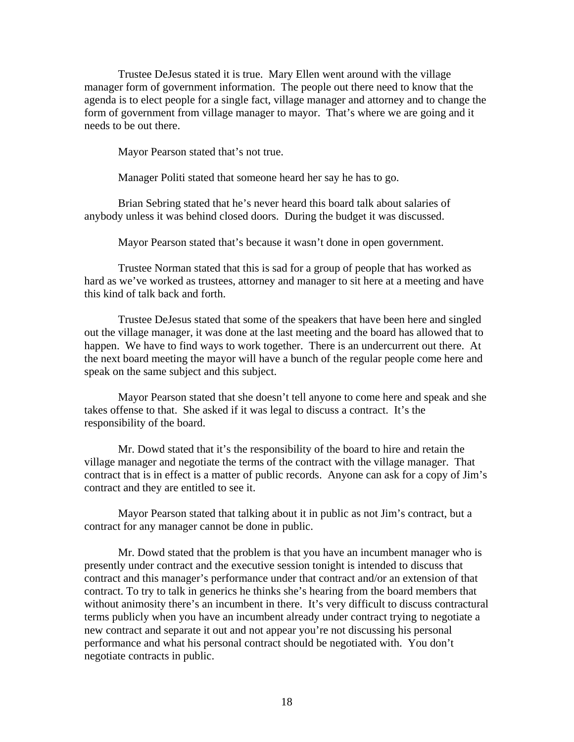Trustee DeJesus stated it is true. Mary Ellen went around with the village manager form of government information. The people out there need to know that the agenda is to elect people for a single fact, village manager and attorney and to change the form of government from village manager to mayor. That's where we are going and it needs to be out there.

Mayor Pearson stated that's not true.

Manager Politi stated that someone heard her say he has to go.

 Brian Sebring stated that he's never heard this board talk about salaries of anybody unless it was behind closed doors. During the budget it was discussed.

Mayor Pearson stated that's because it wasn't done in open government.

 Trustee Norman stated that this is sad for a group of people that has worked as hard as we've worked as trustees, attorney and manager to sit here at a meeting and have this kind of talk back and forth.

 Trustee DeJesus stated that some of the speakers that have been here and singled out the village manager, it was done at the last meeting and the board has allowed that to happen. We have to find ways to work together. There is an undercurrent out there. At the next board meeting the mayor will have a bunch of the regular people come here and speak on the same subject and this subject.

 Mayor Pearson stated that she doesn't tell anyone to come here and speak and she takes offense to that. She asked if it was legal to discuss a contract. It's the responsibility of the board.

 Mr. Dowd stated that it's the responsibility of the board to hire and retain the village manager and negotiate the terms of the contract with the village manager. That contract that is in effect is a matter of public records. Anyone can ask for a copy of Jim's contract and they are entitled to see it.

 Mayor Pearson stated that talking about it in public as not Jim's contract, but a contract for any manager cannot be done in public.

 Mr. Dowd stated that the problem is that you have an incumbent manager who is presently under contract and the executive session tonight is intended to discuss that contract and this manager's performance under that contract and/or an extension of that contract. To try to talk in generics he thinks she's hearing from the board members that without animosity there's an incumbent in there. It's very difficult to discuss contractural terms publicly when you have an incumbent already under contract trying to negotiate a new contract and separate it out and not appear you're not discussing his personal performance and what his personal contract should be negotiated with. You don't negotiate contracts in public.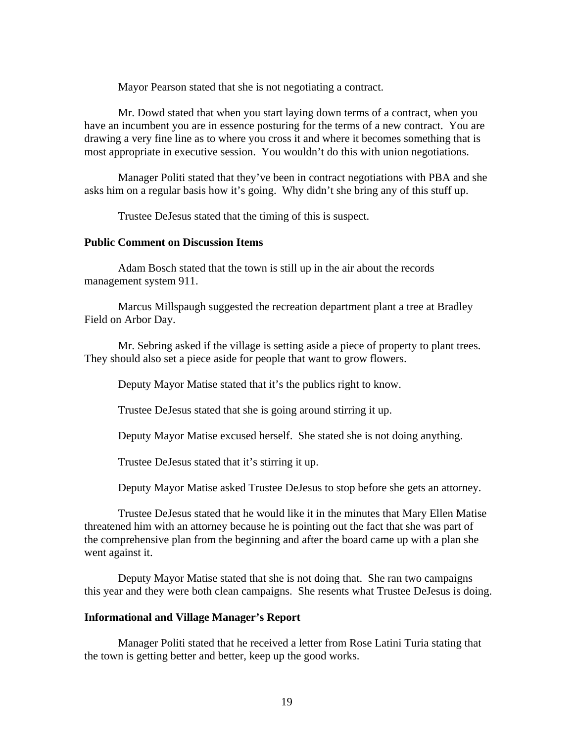Mayor Pearson stated that she is not negotiating a contract.

 Mr. Dowd stated that when you start laying down terms of a contract, when you have an incumbent you are in essence posturing for the terms of a new contract. You are drawing a very fine line as to where you cross it and where it becomes something that is most appropriate in executive session. You wouldn't do this with union negotiations.

 Manager Politi stated that they've been in contract negotiations with PBA and she asks him on a regular basis how it's going. Why didn't she bring any of this stuff up.

Trustee DeJesus stated that the timing of this is suspect.

#### **Public Comment on Discussion Items**

Adam Bosch stated that the town is still up in the air about the records management system 911.

 Marcus Millspaugh suggested the recreation department plant a tree at Bradley Field on Arbor Day.

 Mr. Sebring asked if the village is setting aside a piece of property to plant trees. They should also set a piece aside for people that want to grow flowers.

Deputy Mayor Matise stated that it's the publics right to know.

Trustee DeJesus stated that she is going around stirring it up.

Deputy Mayor Matise excused herself. She stated she is not doing anything.

Trustee DeJesus stated that it's stirring it up.

Deputy Mayor Matise asked Trustee DeJesus to stop before she gets an attorney.

 Trustee DeJesus stated that he would like it in the minutes that Mary Ellen Matise threatened him with an attorney because he is pointing out the fact that she was part of the comprehensive plan from the beginning and after the board came up with a plan she went against it.

 Deputy Mayor Matise stated that she is not doing that. She ran two campaigns this year and they were both clean campaigns. She resents what Trustee DeJesus is doing.

### **Informational and Village Manager's Report**

Manager Politi stated that he received a letter from Rose Latini Turia stating that the town is getting better and better, keep up the good works.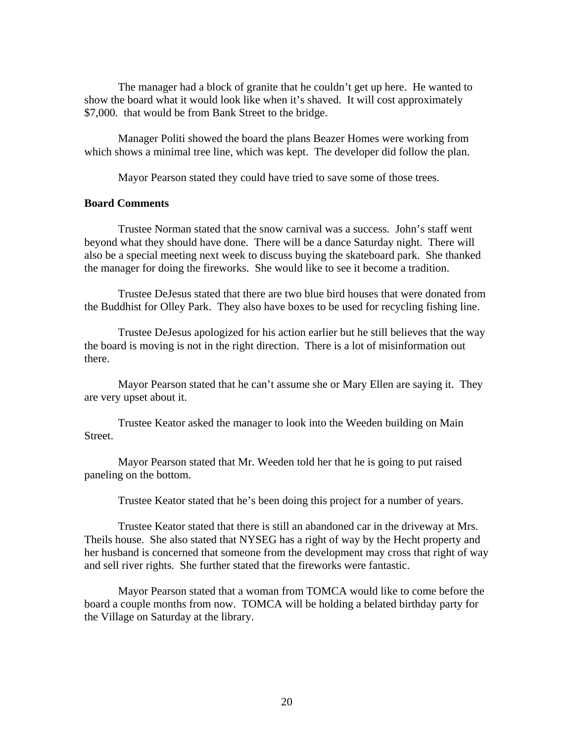The manager had a block of granite that he couldn't get up here. He wanted to show the board what it would look like when it's shaved. It will cost approximately \$7,000. that would be from Bank Street to the bridge.

 Manager Politi showed the board the plans Beazer Homes were working from which shows a minimal tree line, which was kept. The developer did follow the plan.

Mayor Pearson stated they could have tried to save some of those trees.

# **Board Comments**

 Trustee Norman stated that the snow carnival was a success. John's staff went beyond what they should have done. There will be a dance Saturday night. There will also be a special meeting next week to discuss buying the skateboard park. She thanked the manager for doing the fireworks. She would like to see it become a tradition.

 Trustee DeJesus stated that there are two blue bird houses that were donated from the Buddhist for Olley Park. They also have boxes to be used for recycling fishing line.

 Trustee DeJesus apologized for his action earlier but he still believes that the way the board is moving is not in the right direction. There is a lot of misinformation out there.

 Mayor Pearson stated that he can't assume she or Mary Ellen are saying it. They are very upset about it.

 Trustee Keator asked the manager to look into the Weeden building on Main Street.

 Mayor Pearson stated that Mr. Weeden told her that he is going to put raised paneling on the bottom.

Trustee Keator stated that he's been doing this project for a number of years.

 Trustee Keator stated that there is still an abandoned car in the driveway at Mrs. Theils house. She also stated that NYSEG has a right of way by the Hecht property and her husband is concerned that someone from the development may cross that right of way and sell river rights. She further stated that the fireworks were fantastic.

 Mayor Pearson stated that a woman from TOMCA would like to come before the board a couple months from now. TOMCA will be holding a belated birthday party for the Village on Saturday at the library.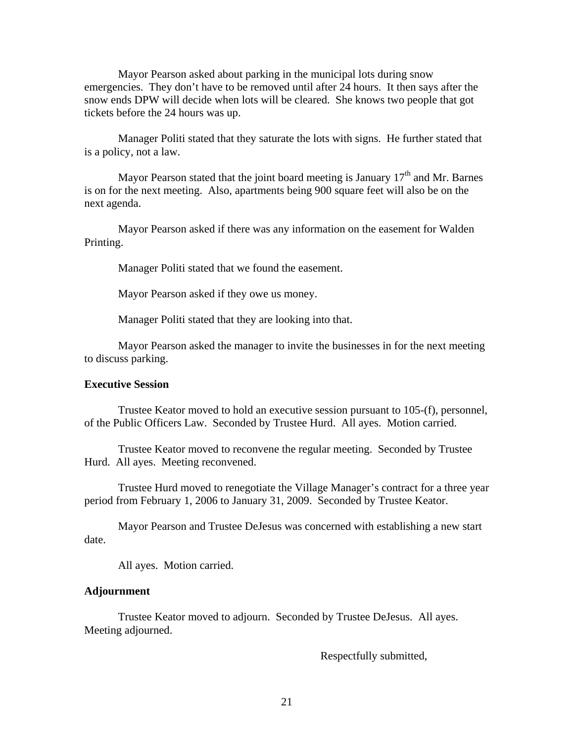Mayor Pearson asked about parking in the municipal lots during snow emergencies. They don't have to be removed until after 24 hours. It then says after the snow ends DPW will decide when lots will be cleared. She knows two people that got tickets before the 24 hours was up.

 Manager Politi stated that they saturate the lots with signs. He further stated that is a policy, not a law.

Mayor Pearson stated that the joint board meeting is January  $17<sup>th</sup>$  and Mr. Barnes is on for the next meeting. Also, apartments being 900 square feet will also be on the next agenda.

Mayor Pearson asked if there was any information on the easement for Walden Printing.

Manager Politi stated that we found the easement.

Mayor Pearson asked if they owe us money.

Manager Politi stated that they are looking into that.

Mayor Pearson asked the manager to invite the businesses in for the next meeting to discuss parking.

### **Executive Session**

Trustee Keator moved to hold an executive session pursuant to 105-(f), personnel, of the Public Officers Law. Seconded by Trustee Hurd. All ayes. Motion carried.

 Trustee Keator moved to reconvene the regular meeting. Seconded by Trustee Hurd. All ayes. Meeting reconvened.

 Trustee Hurd moved to renegotiate the Village Manager's contract for a three year period from February 1, 2006 to January 31, 2009. Seconded by Trustee Keator.

 Mayor Pearson and Trustee DeJesus was concerned with establishing a new start date.

All ayes. Motion carried.

#### **Adjournment**

Trustee Keator moved to adjourn. Seconded by Trustee DeJesus. All ayes. Meeting adjourned.

Respectfully submitted,